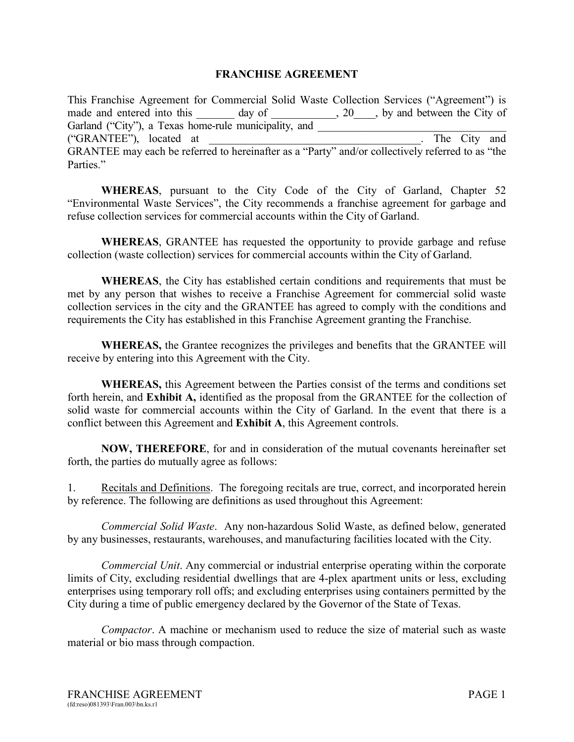## **FRANCHISE AGREEMENT**

This Franchise Agreement for Commercial Solid Waste Collection Services ("Agreement") is made and entered into this day of the same contact the City of  $\frac{1}{20}$ , by and between the City of Garland ("City"), a Texas home-rule municipality, and \_\_\_\_\_\_\_\_\_\_\_\_\_\_\_\_\_\_\_\_\_\_\_\_\_\_\_ ("GRANTEE"), located at \_\_\_\_\_\_\_\_\_\_\_\_\_\_\_\_\_\_\_\_\_\_\_\_\_\_\_\_\_\_\_\_\_\_\_\_\_\_. The City and GRANTEE may each be referred to hereinafter as a "Party" and/or collectively referred to as "the Parties."

**WHEREAS**, pursuant to the City Code of the City of Garland, Chapter 52 "Environmental Waste Services", the City recommends a franchise agreement for garbage and refuse collection services for commercial accounts within the City of Garland.

**WHEREAS**, GRANTEE has requested the opportunity to provide garbage and refuse collection (waste collection) services for commercial accounts within the City of Garland.

**WHEREAS**, the City has established certain conditions and requirements that must be met by any person that wishes to receive a Franchise Agreement for commercial solid waste collection services in the city and the GRANTEE has agreed to comply with the conditions and requirements the City has established in this Franchise Agreement granting the Franchise.

**WHEREAS,** the Grantee recognizes the privileges and benefits that the GRANTEE will receive by entering into this Agreement with the City.

**WHEREAS,** this Agreement between the Parties consist of the terms and conditions set forth herein, and **Exhibit A,** identified as the proposal from the GRANTEE for the collection of solid waste for commercial accounts within the City of Garland. In the event that there is a conflict between this Agreement and **Exhibit A**, this Agreement controls.

**NOW, THEREFORE**, for and in consideration of the mutual covenants hereinafter set forth, the parties do mutually agree as follows:

1.Recitals and Definitions. The foregoing recitals are true, correct, and incorporated herein by reference. The following are definitions as used throughout this Agreement:

*Commercial Solid Waste*. Any non-hazardous Solid Waste, as defined below, generated by any businesses, restaurants, warehouses, and manufacturing facilities located with the City.

*Commercial Unit*. Any commercial or industrial enterprise operating within the corporate limits of City, excluding residential dwellings that are 4-plex apartment units or less, excluding enterprises using temporary roll offs; and excluding enterprises using containers permitted by the City during a time of public emergency declared by the Governor of the State of Texas.

*Compactor*. A machine or mechanism used to reduce the size of material such as waste material or bio mass through compaction.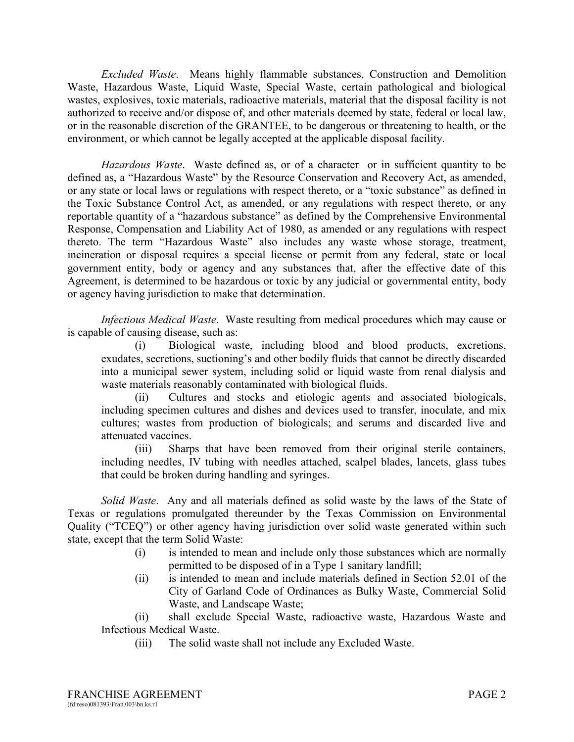*Excluded Waste*. Means highly flammable substances, Construction and Demolition Waste, Hazardous Waste, Liquid Waste, Special Waste, certain pathological and biological wastes, explosives, toxic materials, radioactive materials, material that the disposal facility is not authorized to receive and/or dispose of, and other materials deemed by state, federal or local law, or in the reasonable discretion of the GRANTEE, to be dangerous or threatening to health, or the environment, or which cannot be legally accepted at the applicable disposal facility.

*Hazardous Waste*. Waste defined as, or of a character or in sufficient quantity to be defined as, a "Hazardous Waste" by the Resource Conservation and Recovery Act, as amended, or any state or local laws or regulations with respect thereto, or a "toxic substance" as defined in the Toxic Substance Control Act, as amended, or any regulations with respect thereto, or any reportable quantity of a "hazardous substance" as defined by the Comprehensive Environmental Response, Compensation and Liability Act of 1980, as amended or any regulations with respect thereto. The term "Hazardous Waste" also includes any waste whose storage, treatment, incineration or disposal requires a special license or permit from any federal, state or local government entity, body or agency and any substances that, after the effective date of this Agreement, is determined to be hazardous or toxic by any judicial or governmental entity, body or agency having jurisdiction to make that determination.

*Infectious Medical Waste*. Waste resulting from medical procedures which may cause or is capable of causing disease, such as:

(i) Biological waste, including blood and blood products, excretions, exudates, secretions, suctioning's and other bodily fluids that cannot be directly discarded into a municipal sewer system, including solid or liquid waste from renal dialysis and waste materials reasonably contaminated with biological fluids.

(ii) Cultures and stocks and etiologic agents and associated biologicals, including specimen cultures and dishes and devices used to transfer, inoculate, and mix cultures; wastes from production of biologicals; and serums and discarded live and attenuated vaccines.

(iii) Sharps that have been removed from their original sterile containers, including needles, IV tubing with needles attached, scalpel blades, lancets, glass tubes that could be broken during handling and syringes.

*Solid Waste*. Any and all materials defined as solid waste by the laws of the State of Texas or regulations promulgated thereunder by the Texas Commission on Environmental Quality ("TCEQ") or other agency having jurisdiction over solid waste generated within such state, except that the term Solid Waste:

- (i) is intended to mean and include only those substances which are normally permitted to be disposed of in a Type 1 sanitary landfill;
- (ii) is intended to mean and include materials defined in Section 52.01 of the City of Garland Code of Ordinances as Bulky Waste, Commercial Solid Waste, and Landscape Waste;

(ii) shall exclude Special Waste, radioactive waste, Hazardous Waste and Infectious Medical Waste.

(iii) The solid waste shall not include any Excluded Waste.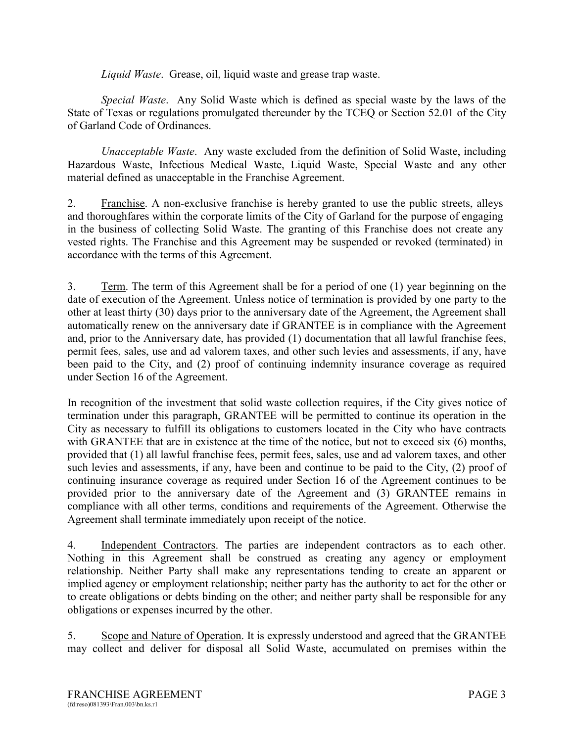*Liquid Waste*. Grease, oil, liquid waste and grease trap waste.

*Special Waste*. Any Solid Waste which is defined as special waste by the laws of the State of Texas or regulations promulgated thereunder by the TCEQ or Section 52.01 of the City of Garland Code of Ordinances.

*Unacceptable Waste*. Any waste excluded from the definition of Solid Waste, including Hazardous Waste, Infectious Medical Waste, Liquid Waste, Special Waste and any other material defined as unacceptable in the Franchise Agreement.

2. Franchise. A non-exclusive franchise is hereby granted to use the public streets, alleys and thoroughfares within the corporate limits of the City of Garland for the purpose of engaging in the business of collecting Solid Waste. The granting of this Franchise does not create any vested rights. The Franchise and this Agreement may be suspended or revoked (terminated) in accordance with the terms of this Agreement.

3. Term. The term of this Agreement shall be for a period of one (1) year beginning on the date of execution of the Agreement. Unless notice of termination is provided by one party to the other at least thirty (30) days prior to the anniversary date of the Agreement, the Agreement shall automatically renew on the anniversary date if GRANTEE is in compliance with the Agreement and, prior to the Anniversary date, has provided (1) documentation that all lawful franchise fees, permit fees, sales, use and ad valorem taxes, and other such levies and assessments, if any, have been paid to the City, and (2) proof of continuing indemnity insurance coverage as required under Section 16 of the Agreement.

In recognition of the investment that solid waste collection requires, if the City gives notice of termination under this paragraph, GRANTEE will be permitted to continue its operation in the City as necessary to fulfill its obligations to customers located in the City who have contracts with GRANTEE that are in existence at the time of the notice, but not to exceed six (6) months, provided that (1) all lawful franchise fees, permit fees, sales, use and ad valorem taxes, and other such levies and assessments, if any, have been and continue to be paid to the City, (2) proof of continuing insurance coverage as required under Section 16 of the Agreement continues to be provided prior to the anniversary date of the Agreement and (3) GRANTEE remains in compliance with all other terms, conditions and requirements of the Agreement. Otherwise the Agreement shall terminate immediately upon receipt of the notice.

4. Independent Contractors. The parties are independent contractors as to each other. Nothing in this Agreement shall be construed as creating any agency or employment relationship. Neither Party shall make any representations tending to create an apparent or implied agency or employment relationship; neither party has the authority to act for the other or to create obligations or debts binding on the other; and neither party shall be responsible for any obligations or expenses incurred by the other.

5. Scope and Nature of Operation. It is expressly understood and agreed that the GRANTEE may collect and deliver for disposal all Solid Waste, accumulated on premises within the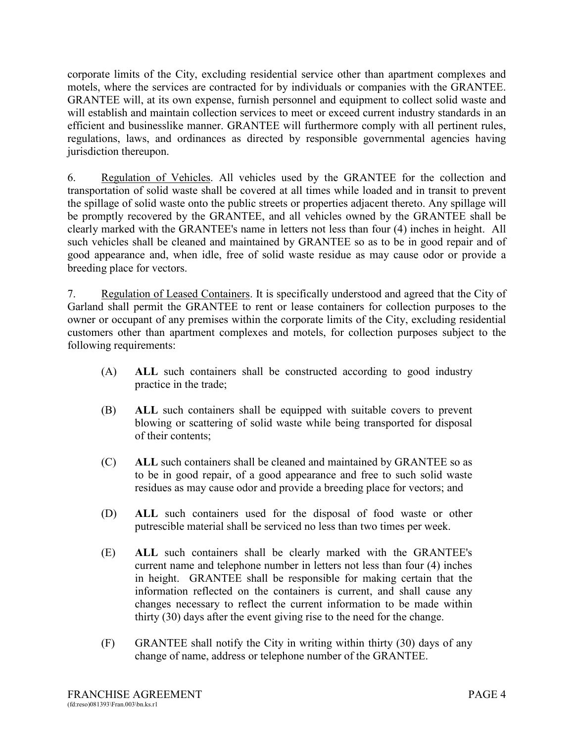corporate limits of the City, excluding residential service other than apartment complexes and motels, where the services are contracted for by individuals or companies with the GRANTEE. GRANTEE will, at its own expense, furnish personnel and equipment to collect solid waste and will establish and maintain collection services to meet or exceed current industry standards in an efficient and businesslike manner. GRANTEE will furthermore comply with all pertinent rules, regulations, laws, and ordinances as directed by responsible governmental agencies having jurisdiction thereupon.

6. Regulation of Vehicles. All vehicles used by the GRANTEE for the collection and transportation of solid waste shall be covered at all times while loaded and in transit to prevent the spillage of solid waste onto the public streets or properties adjacent thereto. Any spillage will be promptly recovered by the GRANTEE, and all vehicles owned by the GRANTEE shall be clearly marked with the GRANTEE's name in letters not less than four (4) inches in height. All such vehicles shall be cleaned and maintained by GRANTEE so as to be in good repair and of good appearance and, when idle, free of solid waste residue as may cause odor or provide a breeding place for vectors.

7. Regulation of Leased Containers. It is specifically understood and agreed that the City of Garland shall permit the GRANTEE to rent or lease containers for collection purposes to the owner or occupant of any premises within the corporate limits of the City, excluding residential customers other than apartment complexes and motels, for collection purposes subject to the following requirements:

- (A) **ALL** such containers shall be constructed according to good industry practice in the trade;
- (B) **ALL** such containers shall be equipped with suitable covers to prevent blowing or scattering of solid waste while being transported for disposal of their contents;
- (C) **ALL** such containers shall be cleaned and maintained by GRANTEE so as to be in good repair, of a good appearance and free to such solid waste residues as may cause odor and provide a breeding place for vectors; and
- (D) **ALL** such containers used for the disposal of food waste or other putrescible material shall be serviced no less than two times per week.
- (E) **ALL** such containers shall be clearly marked with the GRANTEE's current name and telephone number in letters not less than four (4) inches in height. GRANTEE shall be responsible for making certain that the information reflected on the containers is current, and shall cause any changes necessary to reflect the current information to be made within thirty (30) days after the event giving rise to the need for the change.
- (F) GRANTEE shall notify the City in writing within thirty (30) days of any change of name, address or telephone number of the GRANTEE.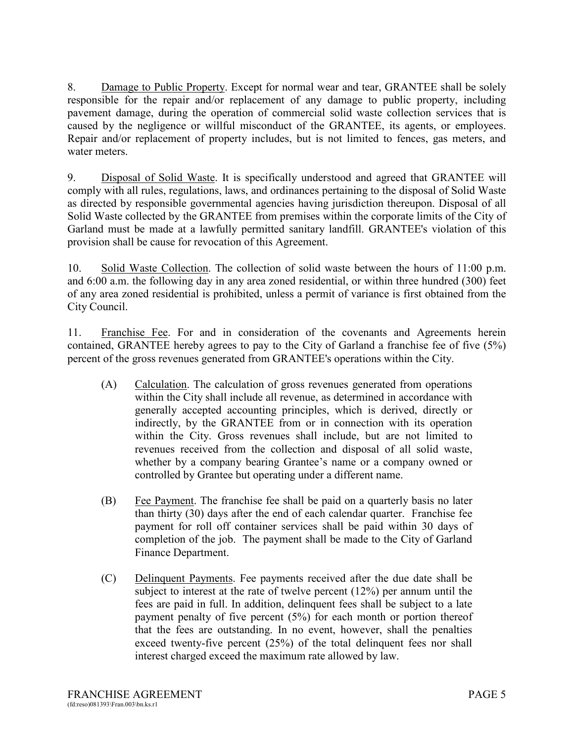8. Damage to Public Property. Except for normal wear and tear, GRANTEE shall be solely responsible for the repair and/or replacement of any damage to public property, including pavement damage, during the operation of commercial solid waste collection services that is caused by the negligence or willful misconduct of the GRANTEE, its agents, or employees. Repair and/or replacement of property includes, but is not limited to fences, gas meters, and water meters.

9. Disposal of Solid Waste. It is specifically understood and agreed that GRANTEE will comply with all rules, regulations, laws, and ordinances pertaining to the disposal of Solid Waste as directed by responsible governmental agencies having jurisdiction thereupon. Disposal of all Solid Waste collected by the GRANTEE from premises within the corporate limits of the City of Garland must be made at a lawfully permitted sanitary landfill. GRANTEE's violation of this provision shall be cause for revocation of this Agreement.

10. Solid Waste Collection. The collection of solid waste between the hours of 11:00 p.m. and 6:00 a.m. the following day in any area zoned residential, or within three hundred (300) feet of any area zoned residential is prohibited, unless a permit of variance is first obtained from the City Council.

11. Franchise Fee. For and in consideration of the covenants and Agreements herein contained, GRANTEE hereby agrees to pay to the City of Garland a franchise fee of five (5%) percent of the gross revenues generated from GRANTEE's operations within the City.

- (A) Calculation. The calculation of gross revenues generated from operations within the City shall include all revenue, as determined in accordance with generally accepted accounting principles, which is derived, directly or indirectly, by the GRANTEE from or in connection with its operation within the City. Gross revenues shall include, but are not limited to revenues received from the collection and disposal of all solid waste, whether by a company bearing Grantee's name or a company owned or controlled by Grantee but operating under a different name.
- (B) Fee Payment. The franchise fee shall be paid on a quarterly basis no later than thirty (30) days after the end of each calendar quarter. Franchise fee payment for roll off container services shall be paid within 30 days of completion of the job. The payment shall be made to the City of Garland Finance Department.
- (C) Delinquent Payments. Fee payments received after the due date shall be subject to interest at the rate of twelve percent (12%) per annum until the fees are paid in full. In addition, delinquent fees shall be subject to a late payment penalty of five percent (5%) for each month or portion thereof that the fees are outstanding. In no event, however, shall the penalties exceed twenty-five percent (25%) of the total delinquent fees nor shall interest charged exceed the maximum rate allowed by law.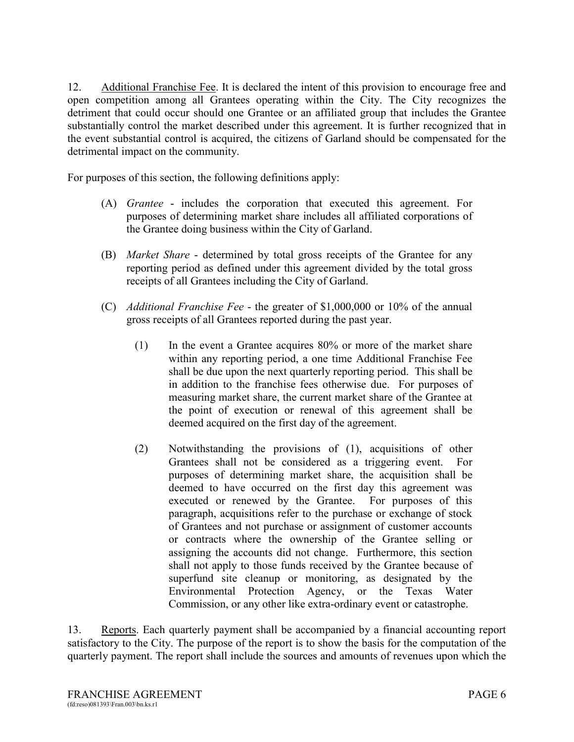12. Additional Franchise Fee. It is declared the intent of this provision to encourage free and open competition among all Grantees operating within the City. The City recognizes the detriment that could occur should one Grantee or an affiliated group that includes the Grantee substantially control the market described under this agreement. It is further recognized that in the event substantial control is acquired, the citizens of Garland should be compensated for the detrimental impact on the community.

For purposes of this section, the following definitions apply:

- (A) *Grantee* includes the corporation that executed this agreement. For purposes of determining market share includes all affiliated corporations of the Grantee doing business within the City of Garland.
- (B) *Market Share* determined by total gross receipts of the Grantee for any reporting period as defined under this agreement divided by the total gross receipts of all Grantees including the City of Garland.
- (C) *Additional Franchise Fee* the greater of \$1,000,000 or 10% of the annual gross receipts of all Grantees reported during the past year.
	- (1) In the event a Grantee acquires 80% or more of the market share within any reporting period, a one time Additional Franchise Fee shall be due upon the next quarterly reporting period. This shall be in addition to the franchise fees otherwise due. For purposes of measuring market share, the current market share of the Grantee at the point of execution or renewal of this agreement shall be deemed acquired on the first day of the agreement.
	- (2) Notwithstanding the provisions of (1), acquisitions of other Grantees shall not be considered as a triggering event. For purposes of determining market share, the acquisition shall be deemed to have occurred on the first day this agreement was executed or renewed by the Grantee. For purposes of this paragraph, acquisitions refer to the purchase or exchange of stock of Grantees and not purchase or assignment of customer accounts or contracts where the ownership of the Grantee selling or assigning the accounts did not change. Furthermore, this section shall not apply to those funds received by the Grantee because of superfund site cleanup or monitoring, as designated by the Environmental Protection Agency, or the Texas Water Commission, or any other like extra-ordinary event or catastrophe.

13. Reports. Each quarterly payment shall be accompanied by a financial accounting report satisfactory to the City. The purpose of the report is to show the basis for the computation of the quarterly payment. The report shall include the sources and amounts of revenues upon which the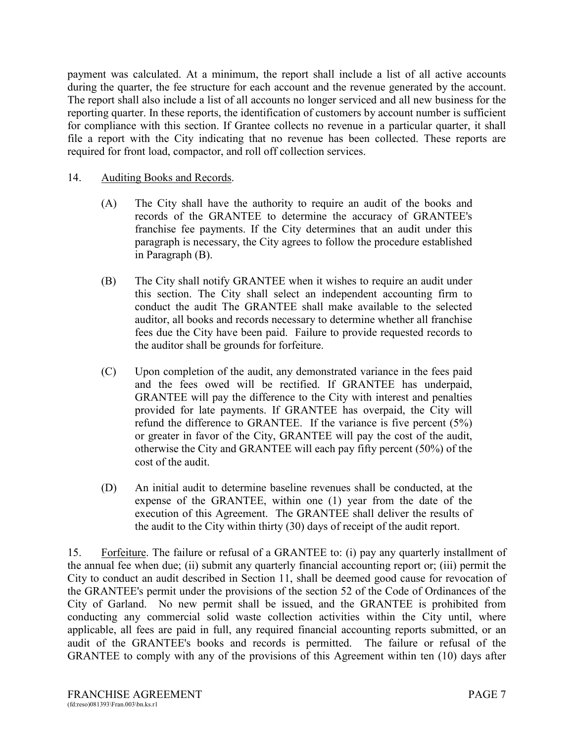payment was calculated. At a minimum, the report shall include a list of all active accounts during the quarter, the fee structure for each account and the revenue generated by the account. The report shall also include a list of all accounts no longer serviced and all new business for the reporting quarter. In these reports, the identification of customers by account number is sufficient for compliance with this section. If Grantee collects no revenue in a particular quarter, it shall file a report with the City indicating that no revenue has been collected. These reports are required for front load, compactor, and roll off collection services.

## 14. Auditing Books and Records.

- (A) The City shall have the authority to require an audit of the books and records of the GRANTEE to determine the accuracy of GRANTEE's franchise fee payments. If the City determines that an audit under this paragraph is necessary, the City agrees to follow the procedure established in Paragraph (B).
- (B) The City shall notify GRANTEE when it wishes to require an audit under this section. The City shall select an independent accounting firm to conduct the audit The GRANTEE shall make available to the selected auditor, all books and records necessary to determine whether all franchise fees due the City have been paid. Failure to provide requested records to the auditor shall be grounds for forfeiture.
- (C) Upon completion of the audit, any demonstrated variance in the fees paid and the fees owed will be rectified. If GRANTEE has underpaid, GRANTEE will pay the difference to the City with interest and penalties provided for late payments. If GRANTEE has overpaid, the City will refund the difference to GRANTEE. If the variance is five percent (5%) or greater in favor of the City, GRANTEE will pay the cost of the audit, otherwise the City and GRANTEE will each pay fifty percent (50%) of the cost of the audit.
- (D) An initial audit to determine baseline revenues shall be conducted, at the expense of the GRANTEE, within one (1) year from the date of the execution of this Agreement. The GRANTEE shall deliver the results of the audit to the City within thirty (30) days of receipt of the audit report.

15. Forfeiture. The failure or refusal of a GRANTEE to: (i) pay any quarterly installment of the annual fee when due; (ii) submit any quarterly financial accounting report or; (iii) permit the City to conduct an audit described in Section 11, shall be deemed good cause for revocation of the GRANTEE's permit under the provisions of the section 52 of the Code of Ordinances of the City of Garland. No new permit shall be issued, and the GRANTEE is prohibited from conducting any commercial solid waste collection activities within the City until, where applicable, all fees are paid in full, any required financial accounting reports submitted, or an audit of the GRANTEE's books and records is permitted. The failure or refusal of the GRANTEE to comply with any of the provisions of this Agreement within ten (10) days after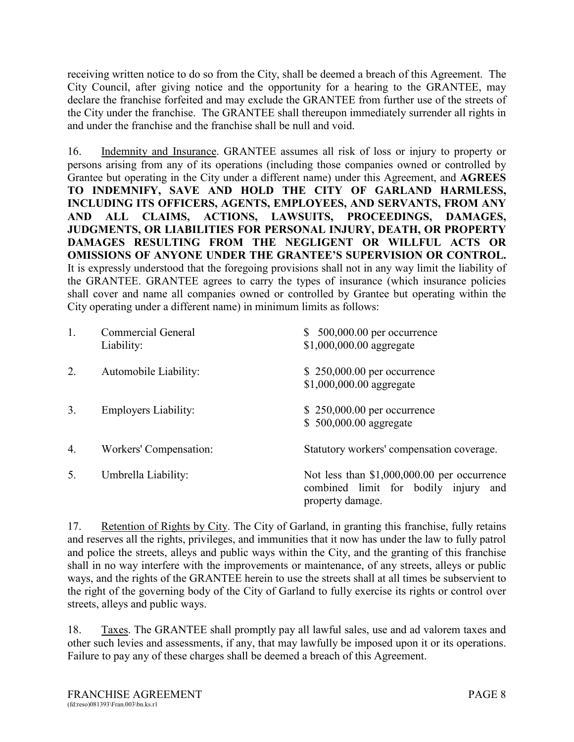receiving written notice to do so from the City, shall be deemed a breach of this Agreement. The City Council, after giving notice and the opportunity for a hearing to the GRANTEE, may declare the franchise forfeited and may exclude the GRANTEE from further use of the streets of the City under the franchise. The GRANTEE shall thereupon immediately surrender all rights in and under the franchise and the franchise shall be null and void.

16. Indemnity and Insurance. GRANTEE assumes all risk of loss or injury to property or persons arising from any of its operations (including those companies owned or controlled by Grantee but operating in the City under a different name) under this Agreement, and **AGREES TO INDEMNIFY, SAVE AND HOLD THE CITY OF GARLAND HARMLESS, INCLUDING ITS OFFICERS, AGENTS, EMPLOYEES, AND SERVANTS, FROM ANY AND ALL CLAIMS, ACTIONS, LAWSUITS, PROCEEDINGS, DAMAGES, JUDGMENTS, OR LIABILITIES FOR PERSONAL INJURY, DEATH, OR PROPERTY DAMAGES RESULTING FROM THE NEGLIGENT OR WILLFUL ACTS OR OMISSIONS OF ANYONE UNDER THE GRANTEE'S SUPERVISION OR CONTROL.** It is expressly understood that the foregoing provisions shall not in any way limit the liability of the GRANTEE. GRANTEE agrees to carry the types of insurance (which insurance policies shall cover and name all companies owned or controlled by Grantee but operating within the City operating under a different name) in minimum limits as follows:

| 1. | <b>Commercial General</b><br>Liability: | $$500,000.00$ per occurrence<br>\$1,000,000.00 aggregate                                                 |
|----|-----------------------------------------|----------------------------------------------------------------------------------------------------------|
| 2. | Automobile Liability:                   | \$250,000.00 per occurrence<br>\$1,000,000.00 aggregate                                                  |
| 3. | <b>Employers Liability:</b>             | $$250,000.00$ per occurrence<br>\$500,000.00 aggregate                                                   |
| 4. | Workers' Compensation:                  | Statutory workers' compensation coverage.                                                                |
| 5. | Umbrella Liability:                     | Not less than $$1,000,000.00$ per occurrence<br>combined limit for bodily injury and<br>property damage. |

17. Retention of Rights by City. The City of Garland, in granting this franchise, fully retains and reserves all the rights, privileges, and immunities that it now has under the law to fully patrol and police the streets, alleys and public ways within the City, and the granting of this franchise shall in no way interfere with the improvements or maintenance, of any streets, alleys or public ways, and the rights of the GRANTEE herein to use the streets shall at all times be subservient to the right of the governing body of the City of Garland to fully exercise its rights or control over streets, alleys and public ways.

18. Taxes. The GRANTEE shall promptly pay all lawful sales, use and ad valorem taxes and other such levies and assessments, if any, that may lawfully be imposed upon it or its operations. Failure to pay any of these charges shall be deemed a breach of this Agreement.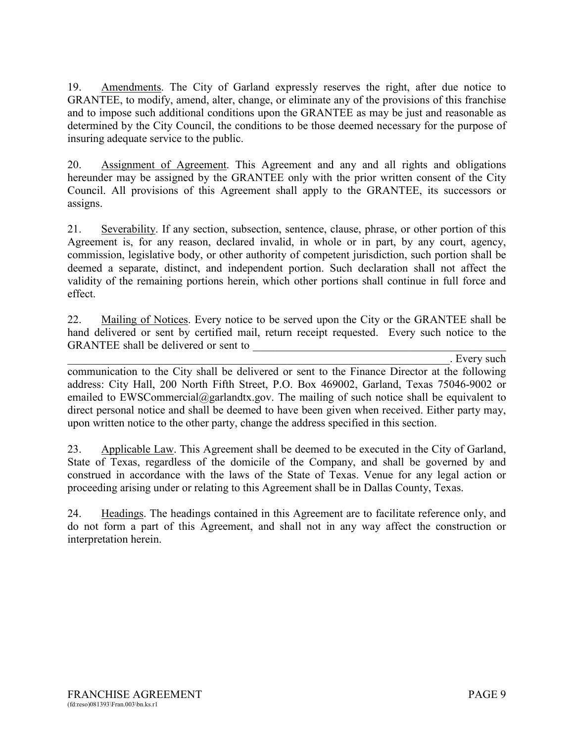19. Amendments. The City of Garland expressly reserves the right, after due notice to GRANTEE, to modify, amend, alter, change, or eliminate any of the provisions of this franchise and to impose such additional conditions upon the GRANTEE as may be just and reasonable as determined by the City Council, the conditions to be those deemed necessary for the purpose of insuring adequate service to the public.

20. Assignment of Agreement. This Agreement and any and all rights and obligations hereunder may be assigned by the GRANTEE only with the prior written consent of the City Council. All provisions of this Agreement shall apply to the GRANTEE, its successors or assigns.

21. Severability. If any section, subsection, sentence, clause, phrase, or other portion of this Agreement is, for any reason, declared invalid, in whole or in part, by any court, agency, commission, legislative body, or other authority of competent jurisdiction, such portion shall be deemed a separate, distinct, and independent portion. Such declaration shall not affect the validity of the remaining portions herein, which other portions shall continue in full force and effect.

22. Mailing of Notices. Every notice to be served upon the City or the GRANTEE shall be hand delivered or sent by certified mail, return receipt requested. Every such notice to the GRANTEE shall be delivered or sent to

. Every such

communication to the City shall be delivered or sent to the Finance Director at the following address: City Hall, 200 North Fifth Street, P.O. Box 469002, Garland, Texas 75046-9002 or emailed to EWSCommercial $@$ garlandtx.gov. The mailing of such notice shall be equivalent to direct personal notice and shall be deemed to have been given when received. Either party may, upon written notice to the other party, change the address specified in this section.

23. Applicable Law. This Agreement shall be deemed to be executed in the City of Garland, State of Texas, regardless of the domicile of the Company, and shall be governed by and construed in accordance with the laws of the State of Texas. Venue for any legal action or proceeding arising under or relating to this Agreement shall be in Dallas County, Texas.

24. Headings. The headings contained in this Agreement are to facilitate reference only, and do not form a part of this Agreement, and shall not in any way affect the construction or interpretation herein.